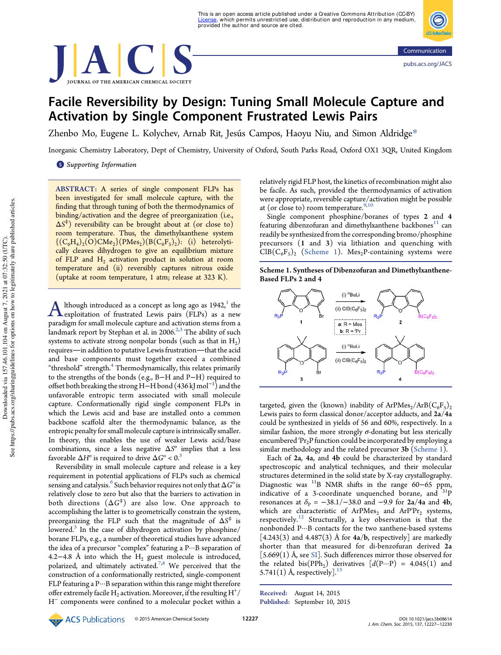



# Facile Reversibility by Design: Tuning Small Molecule Capture and Activation by Single Component Frustrated Lewis Pairs

Zhenbo Mo, Eugene L. Kolychev, Arnab Rit, Jesús Campos, Haoyu Niu, and Simon Aldridge\*

Inorganic Chemistry Laboratory, Dept of Chemistry, University of Oxford, South Parks Road, Oxford OX1 3QR, United Kingdom

**S** Supporting Information

ABSTRACT: A series of single component FLPs has been investigated for small molecule capture, with the finding that through tuning of both the thermodynamics of binding/activation and the degree of preorganization (i.e., Δ*S* ⧧ ) reversibility can be brought about at (or close to) room temperature. Thus, the dimethylxanthene system  $\{ (C_6H_4)_2(O)CMe_2\} (PMes_2)(B(C_6F_5)_2)$ : (i) heterolytically cleaves dihydrogen to give an equilibrium mixture of FLP and H<sub>2</sub> activation product in solution at room temperature and (ii) reversibly captures nitrous oxide (uptake at room temperature, 1 atm; release at 323 K).

A lthough introduced as a concept as long ago as  $1942<sup>1</sup>$ , the exploitation of frustrated Lewis pairs (FLPs) as a new lthough introduced as a concept as long ago as 1942, $^{\rm 1}$  the paradigm for small molecule capture and activation stems from a landmark report by Stephan et al. in 2006.<sup>2,3</sup> The ability of such systems to activate strong nonpolar bonds (such as that in  $\rm H_{2})$ requires—in addition to putative Lewis frustration—that the acid and base components must together exceed a combined "threshold" strength.<sup>4</sup> Thermodynamically, this relates primarily to the strengths of the bonds (e.g., B−H and P−H) required to offset both breaking the strong H−H bond (436 kJ mol<sup>-1</sup>) and the unfavorable entropic term associated with small molecule capture. Conformationally rigid single component FLPs in which the Lewis acid and base are installed onto a common backbone scaffold alter the thermodynamic balance, as the entropic penalty for small molecule capture is intrinsically smaller. In theory, this enables the use of weaker Lewis acid/base combinations, since a less negative  $\Delta S^{\circ}$  implies that a less favorable  $\Delta H^{\rm o}$  is required to drive  $\Delta G^{\rm o} < 0.5$ 

Reversibility in small molecule capture and release is a key requirement in potential applications of FLPs such as chemical sensing and catalysis.<sup>6</sup> Such behavior requires not only that Δ*G*° is relatively close to zero but also that the barriers to activation in both directions (Δ*G* ⧧ ) are also low. One approach to accomplishing the latter is to geometrically constrain the system, preorganizing the FLP such that the magnitude of Δ*S* ⧧ is lowered.<sup>5</sup> In the case of dihydrogen activation by phosphine/ borane FLPs, e.g., a number of theoretical studies have advanced the idea of a precursor "complex" featuring a P···B separation of 4.2−4.8 Å into which the  $H_2$  guest molecule is introduced, polarized, and ultimately activated.<sup>7,8</sup> We perceived that the construction of a conformationally restricted, single-component FLP featuring a P···B separation within this range might therefore offer extremely facile  $\overline{\mathrm{H}_2}$  activation. Moreover, if the resulting  $\mathrm{H}^+ /$ H − components were confined to a molecular pocket within a relatively rigid FLP host, the kinetics of recombination might also be facile. As such, provided the thermodynamics of activation were appropriate, reversible capture/activation might be possible at (or close to) room temperature. $9,10$ 

Single component phosphine/boranes of types 2 and 4 featuring dibenzofuran and dimethylxanthene backbones<sup>11</sup> can readily be synthesized from the corresponding bromo/phosphine precursors (1 and 3) via lithiation and quenching with  $CIB(C_6F_5)_2$  (Scheme 1). Mes<sub>2</sub>P-containing systems were





targeted, given the (known) inability of ArPMes<sub>2</sub>/ArB $(C_6F_5)_2$ Lewis pairs to form classical donor/acceptor adducts, and 2a/4a could be synthesized in yields of 56 and 60%, respectively. In a similar fashion, the more strongly  $\sigma$ -donating but less sterically encumbered <sup>*i*</sup>Pr<sub>2</sub>P function could be incorporated by employing a similar methodology and the related precursor 3b (Scheme 1).

Each of 2a, 4a, and 4b could be characterized by standard spectroscopic and analytical techniques, and their molecular structures determined in the solid state by X-ray crystallography. Diagnostic was <sup>11</sup>B NMR shifts in the range 60−65 ppm, indicative of a 3-coordinate unquenched borane, and  $31P$ resonances at  $\delta_{\rm P} = -38.1/-38.0$  and -9.9 for 2a/4a and 4b, which are characteristic of  $ArPMes_2$  and  $ArP<sup>i</sup>Pr_2$  systems, respectively.<sup>12</sup> Structurally, a key observation is that the nonbonded P···B contacts for the two xanthene-based systems  $[4.243(3)$  and  $4.487(3)$  Å for  $4a/b$ , respectively] are markedly shorter than that measured for di-benzofuran derived 2a  $[5.669(1)$  Å, see SI]. Such differences mirror those observed for the related  $bis(PPh_2)$  derivatives  $[d(P...P) = 4.045(1)$  and 5.741 $(1)$  Å, respectively].<sup>13</sup>

ACS Publications

Received: August 14, 2015 Published: September 10, 2015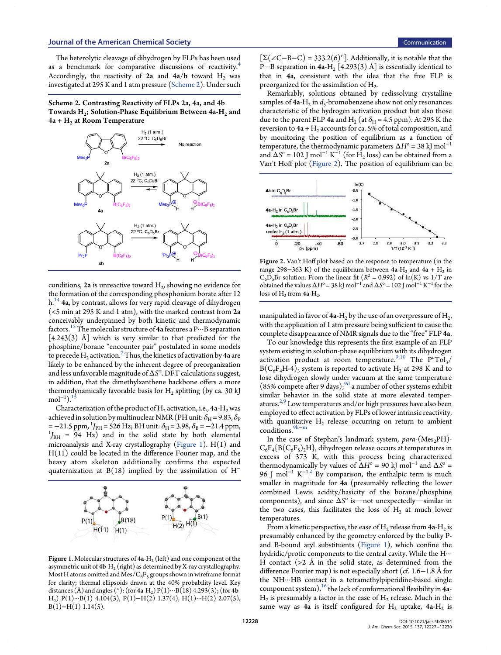The heterolytic cleavage of dihydrogen by FLPs has been used as a benchmark for comparative discussions of reactivity.<sup>4</sup> Accordingly, the reactivity of  $2a$  and  $4a/b$  toward  $H_2$  was investigated at 295 K and 1 atm pressure (Scheme 2). Under such

Scheme 2. Contrasting Reactivity of FLPs 2a, 4a, and 4b Towards  $\rm{H}_{2}$ ; Solution-Phase Equilibrium Between 4a- $\rm{H}_{2}$  and  $4a + H<sub>2</sub>$  at Room Temperature



conditions,  $2a$  is unreactive toward  $H_2$ , showing no evidence for the formation of the corresponding phosphonium borate after 12 h.<sup>14</sup> 4a, by contrast, allows for very rapid cleavage of dihydrogen (<5 min at 295 K and 1 atm), with the marked contrast from 2a conceivably underpinned by both kinetic and thermodynamic factors.<sup>15</sup> The molecular structure of 4a features a  $P\cdots B$  separation  $[4.243(3)$  Å which is very similar to that predicted for the phosphine/borane "encounter pair" postulated in some models to precede  $\text{H}_{\text{2}}$  activation.  $^{7}$  Thus, the kinetics of activation by 4a are likely to be enhanced by the inherent degree of preorganization and less unfavorable magnitude of Δ*S* ⧧ . DFT calculations suggest, in addition, that the dimethylxanthene backbone offers a more thermodynamically favorable basis for  $\rm{H}_{2}$  splitting (by ca. 30 kJ  $mol^{-1}$ ).<sup>15</sup>

Characterization of the product of  $\rm{H}_{2}$  activation, i.e., 4a- $\rm{H}_{2}$  was achieved in solution by multinuclear NMR (PH unit:  $\delta_{\rm H}$  = 9.83,  $\delta_{\rm P}$  $=-21.5$  ppm, <sup>1</sup>J<sub>PH</sub> = 526 Hz; BH unit:  $\delta_{\text{H}} = 3.98$ ,  $\delta_{\text{B}} = -21.4$  ppm,  $^{1}$ *J*<sub>BH</sub> = 94 Hz) and in the solid state by both elemental microanalysis and X-ray crystallography (Figure 1). H(1) and H(11) could be located in the difference Fourier map, and the heavy atom skeleton additionally confirms the expected quaternization at B(18) implied by the assimilation of H<sup>-</sup>



**Figure 1.** Molecular structures of  $4\mathsf{a}\text{-}\mathsf{H}_2$  (left) and one component of the asymmetric unit of  $4b-H_2$  (right) as determined by X-ray crystallography. Most H atoms omitted and Mes/ $C_6F_5$  groups shown in wireframe format for clarity; thermal ellipsoids drawn at the 40% probability level. Key distances (Å) and angles (°): (for 4a-H<sub>2</sub>) P(1)···B(18) 4.293(3); (for 4b-H<sub>2</sub>) P(1)···B(1) 4.104(3), P(1)−H(2) 1.37(4), H(1)···H(2) 2.07(5),  $B(1)$ −H(1) 1.14(5).

 $[\Sigma(\angle C-B-C) = 333.2(6)^\circ]$ . Additionally, it is notable that the P···B separation in  $4a-H_2$  [4.293(3) Å] is essentially identical to that in 4a, consistent with the idea that the free FLP is preorganized for the assimilation of  $H_2$ . .

Remarkably, solutions obtained by redissolving crystalline samples of  $4a$ - $H_2$  in  $d_5$ -bromobenzene show not only resonances characteristic of the hydrogen activation product but also those due to the parent FLP 4a and H<sub>2</sub> (at  $\delta_{\rm H}$  = 4.5 ppm). At 295 K the reversion to  $4\mathsf{a} + \mathrm{H}_2$  accounts for ca. 5% of total composition, and by monitoring the position of equilibrium as a function of temperature, the thermodynamic parameters  $\Delta H^{\circ}$  = 38 kJ mol<sup>-1</sup> and  $\Delta S^{\circ} = 102$  J mol<sup>-1</sup> K<sup>-1</sup> (for H<sub>2</sub> loss) can be obtained from a Van't Hoff plot (Figure 2). The position of equilibrium can be



Figure 2. Van't Hoff plot based on the response to temperature (in the range 298–363 K) of the equilibrium between 4a-H<sub>2</sub> and 4a + H<sub>2</sub> in  $C_6D_5Br$  solution. From the linear fit  $(R^2 = 0.992)$  of  $\ln(K)$  vs  $1/T$  are obtained the values  $\Delta H^{\circ} = 38 \text{ kJ} \text{ mol}^{-1}$  and  $\Delta S^{\circ} = 102 \text{ J} \text{ mol}^{-1} \text{ K}^{-1}$  for the loss of  $H_2$  from 4a- $H_2$ .

manipulated in favor of  $4a-H_2$  by the use of an overpressure of  $H_2$ , , with the application of 1 atm pressure being sufficient to cause the complete disappearance of NMR signals due to the "free" FLP 4a.

To our knowledge this represents the first example of an FLP system existing in solution-phase equilibrium with its dihydrogen activation product at room temperature.<sup>9,10</sup> The  $P^{\circ}Tol_{3}/$  $B(C_6F_4H-4)_3$  system is reported to activate  $H_2$  at 298 K and to lose dihydrogen slowly under vacuum at the same temperature  $(85\%$  compete after 9 days);<sup>9d</sup> a number of other systems exhibit similar behavior in the solid state at more elevated temperatures.<sup>2,9</sup> Low temperatures and/or high pressures have also been employed to effect activation by FLPs of lower intrinsic reactivity, with quantitative  $H_2$  release occurring on return to ambient conditions. $9k-m$ 

In the case of Stephan's landmark system, *para*-(Mes<sub>2</sub>PH)- $C_6F_4\{B(C_6F_5)_2H\}$ , dihydrogen release occurs at temperatures in excess of 373 K, with this process being characterized thermodynamically by values of  $\Delta H^{\circ}$  = 90 kJ mol<sup>-1</sup> and  $\Delta S^{\circ}$  = 96 J mol<sup>-1</sup> K<sup>-12</sup> By comparison, the enthalpic term is much . smaller in magnitude for 4a (presumably reflecting the lower combined Lewis acidity/basicity of the borane/phosphine components), and since ΔS° is—not unexpectedly—similar in the two cases, this facilitates the loss of  $H_2$  at much lower temperatures.

From a kinetic perspective, the ease of  $\rm H_2$  release from 4a- $\rm H_2$  is presumably enhanced by the geometry enforced by the bulky Pand B-bound aryl substituents (Figure 1), which confine the hydridic/protic components to the central cavity. While the H··· H contact  $(>2$  Å in the solid state, as determined from the difference Fourier map) is not especially short (cf. 1.6−1.8 Å for the NH···HB contact in a tetramethylpiperidine-based single component system),  $^{16}$  the lack of conformational flexibility in  $4a \rm{H}_{2}$  is presumably a factor in the ease of  $\rm{H}_{2}$  release. Much in the same way as  $4a$  is itself configured for  $H_2$  uptake,  $4a-H_2$  is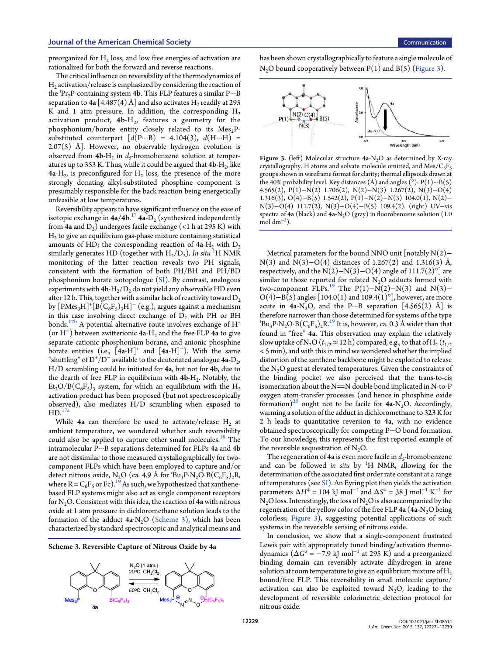preorganized for  $\rm{H}_{2}$  loss, and low free energies of activation are rationalized for both the forward and reverse reactions.

The critical influence on reversibility of the thermodynamics of  $\rm{H}_{2}$  activation/release is emphasized by considering the reaction of the <sup>*i*</sup>Pr<sub>2</sub>P-containing system 4b. This FLP features a similar P···B separation to 4a [4.487(4) Å] and also activates  $\rm{H}_{2}$  readily at 295 K and 1 atm pressure. In addition, the corresponding  $H_2$ activation product,  $4\mathbf{b} \cdot \mathbf{H}_2$ , features a geometry for the phosphonium/borate entity closely related to its  $Mes<sub>2</sub>P$ substituted counterpart  $[d(P...B) = 4.104(3), d(H...H) =$  $2.07(5)$  Å]. However, no observable hydrogen evolution is observed from 4**b**-H<sub>2</sub> in *d*<sub>5</sub>-bromobenzene solution at temperatures up to 353 K. Thus, while it could be argued that  ${\bf 4b\text{-}H}_2$ , like  $4a-H_2$ , is preconfigured for  $H_2$  loss, the presence of the more strongly donating alkyl-substituted phosphine component is presumably responsible for the back reaction being energetically unfeasible at low temperatures.

Reversibility appears to have significant influence on the ease of isotopic exchange in  $4a/4b$ .<sup>17</sup>  $4a-D_2$  (synthesized independently from 4a and  $D_2$ ) undergoes facile exchange (<1 h at 295 K) with  $\rm{H}_{2}$  to give an equilibrium gas-phase mixture containing statistical amounts of HD; the corresponding reaction of  $4a-H_2$  with  $D_2$ similarly generates HD (together with  $H_2/D_2$ ). *In situ* <sup>1</sup>H NMR monitoring of the latter reaction reveals two PH signals, consistent with the formation of both PH/BH and PH/BD phosphonium borate isotopologue (SI). By contrast, analogous experiments with  $4b-H_2/D_2$  do not yield any observable HD even after 12 h. This, together with a similar lack of reactivity toward  $D_2$ by  $[\text{PMes}_3\text{H}]^+[\text{B}(\text{C}_6\text{F}_5)_3\text{H}]^-$  (e.g.), argues against a mechanism in this case involving direct exchange of  $D_2$  with PH or BH bonds.<sup>17b</sup> A potential alternative route involves exchange of  $H^*$ (or H<sup>−</sup> ) between zwitterionic 4a-H<sup>2</sup> and the free FLP 4a to give separate cationic phosphonium borane, and anionic phosphine  $\overline{\text{bor}}$  entities (i.e.,  $[4a-H]^+$  and  $[4a-H]^-$ ). With the same "shuttling" of  $D^+ / D^-$  available to the deuteriated analogue 4a- $D_2$ , H/D scrambling could be initiated for 4a, but not for 4b, due to the dearth of free FLP in equilibrium with  $4b-H_2$ . Notably, the  $\mathrm{Et}_2\mathrm{O}/\mathrm{B}(\mathrm{C}_6\mathrm{F}_5)_3$  system, for which an equilibrium with the  $\mathrm{H}_2$ activation product has been proposed (but not spectroscopically observed), also mediates H/D scrambling when exposed to  $HD.<sup>17a</sup>$ 

While 4a can therefore be used to activate/release  $\rm{H}_{2}$  at ambient temperature, we wondered whether such reversibility could also be applied to capture other small molecules.<sup>18</sup> The intramolecular P···B separations determined for FLPs 4a and 4b are not dissimilar to those measured crystallographically for twocomponent FLPs which have been employed to capture and/or detect nitrous oxide, N<sub>2</sub>O (ca. 4.9 Å for <sup>t</sup>Bu<sub>3</sub>P·N<sub>2</sub>O·B(C<sub>6</sub>F<sub>5</sub>)<sub>2</sub>R, where  $R = C_6F_5$  or  $Fc$ ).<sup>15</sup> As such, we hypothesized that xanthenebased FLP systems might also act as single component receptors for  $N_2O$ . Consistent with this idea, the reaction of 4a with nitrous oxide at 1 atm pressure in dichloromethane solution leads to the formation of the adduct  $4a·N<sub>2</sub>O$  (Scheme 3), which has been characterized by standard spectroscopic and analytical means and

Scheme 3. Reversible Capture of Nitrous Oxide by 4a



has been shown crystallographically to feature a single molecule of  $N<sub>2</sub>O$  bound cooperatively between  $P(1)$  and  $B(5)$  (Figure 3).



Figure 3. (left) Molecular structure  $4a-N<sub>2</sub>O$  as determined by X-ray crystallography. H atoms and solvate molecule omitted, and  $Mes/C<sub>6</sub>F<sub>5</sub>$ groups shown in wireframe format for clarity; thermal ellipsoids drawn at the 40% probability level. Key distances (Å) and angles  $\bar{(\circ)}$ : P(1) $\cdots$ B(5) 4.565(2), P(1)−N(2) 1.706(2), N(2)−N(3) 1.267(2), N(3)−O(4) 1.316(3), O(4)−B(5) 1.542(2), P(1)−N(2)−N(3) 104.0(1), N(2)− N(3)−O(4) 111.7(2), N(3)−O(4)−B(5) 109.4(2). (right) UV−vis spectra of 4a (black) and 4a-N<sub>2</sub>O (gray) in fluorobenzene solution (1.0  $\frac{1}{\text{mol dm}^{-3}}$ ).

Metrical parameters for the bound NNO unit [notably N(2)− N(3) and N(3)−O(4) distances of 1.267(2) and 1.316(3) Å, respectively, and the N(2)–N(3)–O(4) angle of 111.7(2)<sup>°</sup>] are similar to those reported for related  $N_2O$  adducts formed with two-component FLPs.<sup>19</sup> The P(1)–N(2)–N(3) and N(3)– O(4)–B(5) angles [104.0(1) and 109.4(1)°], however, are more acute in  $4a-N_2O$ , and the P···B separation [4.565(2) Å] is therefore narrower than those determined for systems of the type  ${}^t{\rm Bu}_3{\rm P}{\cdot}{\rm N}_2{\rm O}{\cdot}{\rm B}({\rm C}_6{\rm F}_5)_2{\rm R}^{19}$  It is, however, ca. 0.3 Å wider than that found in "free" 4a. This observation may explain the relatively slow uptake of N<sub>2</sub>O ( $t_{1/2}$   $\approx$  12 h) compared, e.g., to that of H<sub>2</sub> ( $t_{1/2}$ ) < 5 min), and with this in mind we wondered whether the implied distortion of the xanthene backbone might be exploited to release the  $N<sub>2</sub>O$  guest at elevated temperatures. Given the constraints of the binding pocket we also perceived that the trans-to-cis isomerization about the  $N=N$  double bond implicated in N-to-P oxygen atom-transfer processes (and hence in phosphine oxide formation)<sup>20</sup> ought not to be facile for  $4a-N<sub>2</sub>O$ . Accordingly, warming a solution of the adduct in dichloromethane to 323 K for 2 h leads to quantitative reversion to 4a, with no evidence obtained spectroscopically for competing P−O bond formation. To our knowledge, this represents the first reported example of the reversible sequestration of  $N_2O$ .

The regeneration of  $4a$  is even more facile in  $d_5$ -bromobenzene and can be followed *in situ* by <sup>1</sup>H NMR, allowing for the determination of the associated first order rate constant at a range of temperatures (see SI). An Eyring plot then yields the activation parameters  $\Delta H^{\dagger} = 104$  kJ mol<sup>-1</sup> and  $\Delta S^{\dagger} = 38$  J mol<sup>-1</sup> K<sup>-1</sup> for  $N_2O$  loss. Interestingly, the loss of  $N_2O$  is also accompanied by the regeneration of the yellow color of the free FLP  $4a$  ( $4a$ -N<sub>2</sub>O being colorless; Figure 3), suggesting potential applications of such systems in the reversible sensing of nitrous oxide.

In conclusion, we show that a single-component frustrated Lewis pair with appropriately tuned binding/activation thermodynamics  $(\Delta G^{\circ} = -7.9 \text{ kJ mol}^{-1}$  at 295 K) and a preorganized binding domain can reversibly activate dihydrogen in arene solution at room temperature to give an equilibrium mixture of  $H_2$ bound/free FLP. This reversibility in small molecule capture/ activation can also be exploited toward  $N_2O$ , leading to the development of reversible colorimetric detection protocol for nitrous oxide.